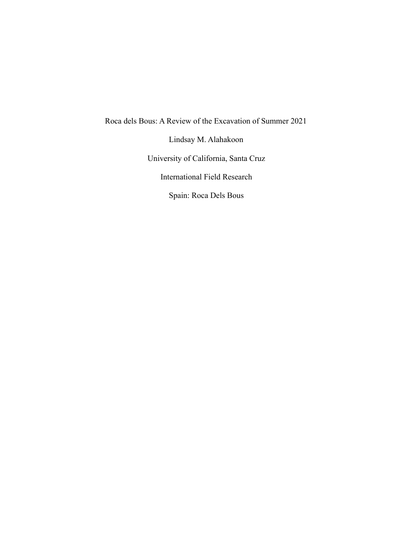Roca dels Bous: A Review of the Excavation of Summer 2021

Lindsay M. Alahakoon

University of California, Santa Cruz

International Field Research

Spain: Roca Dels Bous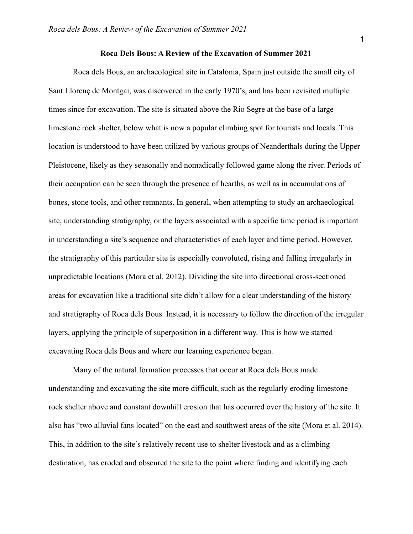## **Roca Dels Bous: A Review of the Excavation of Summer 2021**

Roca dels Bous, an archaeological site in Catalonia, Spain just outside the small city of Sant Llorenç de Montgai, was discovered in the early 1970's, and has been revisited multiple times since for excavation. The site is situated above the Rio Segre at the base of a large limestone rock shelter, below what is now a popular climbing spot for tourists and locals. This location is understood to have been utilized by various groups of Neanderthals during the Upper Pleistocene, likely as they seasonally and nomadically followed game along the river. Periods of their occupation can be seen through the presence of hearths, as well as in accumulations of bones, stone tools, and other remnants. In general, when attempting to study an archaeological site, understanding stratigraphy, or the layers associated with a specific time period is important in understanding a site's sequence and characteristics of each layer and time period. However, the stratigraphy of this particular site is especially convoluted, rising and falling irregularly in unpredictable locations (Mora et al. 2012). Dividing the site into directional cross-sectioned areas for excavation like a traditional site didn't allow for a clear understanding of the history and stratigraphy of Roca dels Bous. Instead, it is necessary to follow the direction of the irregular layers, applying the principle of superposition in a different way. This is how we started excavating Roca dels Bous and where our learning experience began.

Many of the natural formation processes that occur at Roca dels Bous made understanding and excavating the site more difficult, such as the regularly eroding limestone rock shelter above and constant downhill erosion that has occurred over the history of the site. It also has "two alluvial fans located" on the east and southwest areas of the site (Mora et al. 2014). This, in addition to the site's relatively recent use to shelter livestock and as a climbing destination, has eroded and obscured the site to the point where finding and identifying each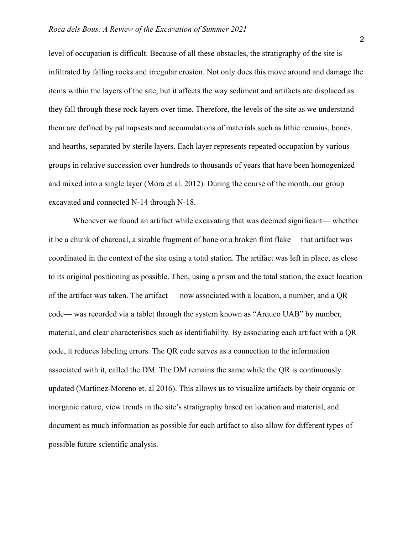level of occupation is difficult. Because of all these obstacles, the stratigraphy of the site is infiltrated by falling rocks and irregular erosion. Not only does this move around and damage the items within the layers of the site, but it affects the way sediment and artifacts are displaced as they fall through these rock layers over time. Therefore, the levels of the site as we understand them are defined by palimpsests and accumulations of materials such as lithic remains, bones, and hearths, separated by sterile layers. Each layer represents repeated occupation by various groups in relative succession over hundreds to thousands of years that have been homogenized and mixed into a single layer (Mora et al. 2012). During the course of the month, our group excavated and connected N-14 through N-18.

Whenever we found an artifact while excavating that was deemed significant— whether it be a chunk of charcoal, a sizable fragment of bone or a broken flint flake— that artifact was coordinated in the context of the site using a total station. The artifact was left in place, as close to its original positioning as possible. Then, using a prism and the total station, the exact location of the artifact was taken. The artifact — now associated with a location, a number, and a QR code— was recorded via a tablet through the system known as "Arqueo UAB" by number, material, and clear characteristics such as identifiability. By associating each artifact with a QR code, it reduces labeling errors. The QR code serves as a connection to the information associated with it, called the DM. The DM remains the same while the QR is continuously updated (Martinez-Moreno et. al 2016). This allows us to visualize artifacts by their organic or inorganic nature, view trends in the site's stratigraphy based on location and material, and document as much information as possible for each artifact to also allow for different types of possible future scientific analysis.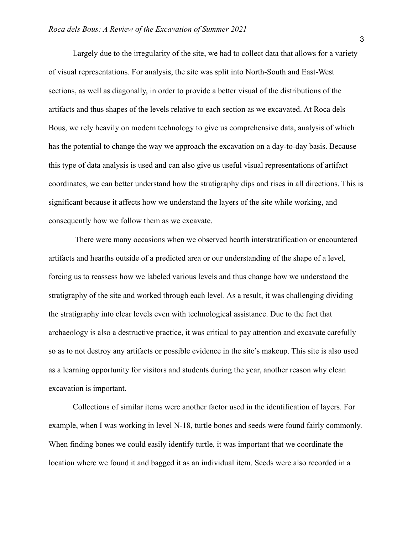Largely due to the irregularity of the site, we had to collect data that allows for a variety of visual representations. For analysis, the site was split into North-South and East-West sections, as well as diagonally, in order to provide a better visual of the distributions of the artifacts and thus shapes of the levels relative to each section as we excavated. At Roca dels Bous, we rely heavily on modern technology to give us comprehensive data, analysis of which has the potential to change the way we approach the excavation on a day-to-day basis. Because this type of data analysis is used and can also give us useful visual representations of artifact coordinates, we can better understand how the stratigraphy dips and rises in all directions. This is significant because it affects how we understand the layers of the site while working, and consequently how we follow them as we excavate.

There were many occasions when we observed hearth interstratification or encountered artifacts and hearths outside of a predicted area or our understanding of the shape of a level, forcing us to reassess how we labeled various levels and thus change how we understood the stratigraphy of the site and worked through each level. As a result, it was challenging dividing the stratigraphy into clear levels even with technological assistance. Due to the fact that archaeology is also a destructive practice, it was critical to pay attention and excavate carefully so as to not destroy any artifacts or possible evidence in the site's makeup. This site is also used as a learning opportunity for visitors and students during the year, another reason why clean excavation is important.

Collections of similar items were another factor used in the identification of layers. For example, when I was working in level N-18, turtle bones and seeds were found fairly commonly. When finding bones we could easily identify turtle, it was important that we coordinate the location where we found it and bagged it as an individual item. Seeds were also recorded in a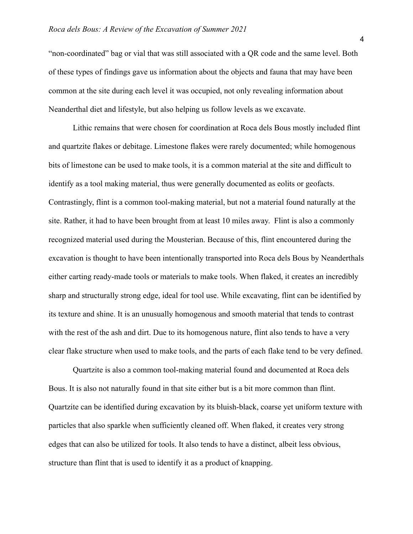"non-coordinated" bag or vial that was still associated with a QR code and the same level. Both of these types of findings gave us information about the objects and fauna that may have been common at the site during each level it was occupied, not only revealing information about Neanderthal diet and lifestyle, but also helping us follow levels as we excavate.

Lithic remains that were chosen for coordination at Roca dels Bous mostly included flint and quartzite flakes or debitage. Limestone flakes were rarely documented; while homogenous bits of limestone can be used to make tools, it is a common material at the site and difficult to identify as a tool making material, thus were generally documented as eolits or geofacts. Contrastingly, flint is a common tool-making material, but not a material found naturally at the site. Rather, it had to have been brought from at least 10 miles away. Flint is also a commonly recognized material used during the Mousterian. Because of this, flint encountered during the excavation is thought to have been intentionally transported into Roca dels Bous by Neanderthals either carting ready-made tools or materials to make tools. When flaked, it creates an incredibly sharp and structurally strong edge, ideal for tool use. While excavating, flint can be identified by its texture and shine. It is an unusually homogenous and smooth material that tends to contrast with the rest of the ash and dirt. Due to its homogenous nature, flint also tends to have a very clear flake structure when used to make tools, and the parts of each flake tend to be very defined.

Quartzite is also a common tool-making material found and documented at Roca dels Bous. It is also not naturally found in that site either but is a bit more common than flint. Quartzite can be identified during excavation by its bluish-black, coarse yet uniform texture with particles that also sparkle when sufficiently cleaned off. When flaked, it creates very strong edges that can also be utilized for tools. It also tends to have a distinct, albeit less obvious, structure than flint that is used to identify it as a product of knapping.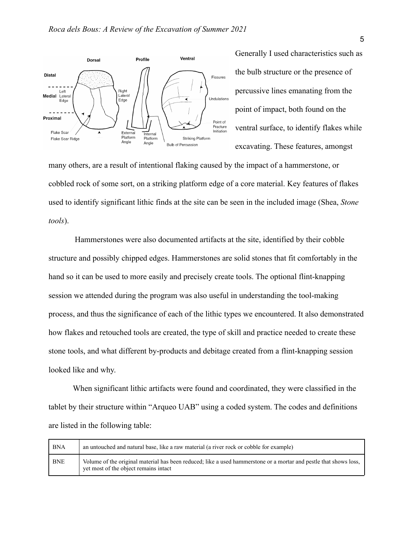

Generally I used characteristics such as the bulb structure or the presence of percussive lines emanating from the point of impact, both found on the ventral surface, to identify flakes while excavating. These features, amongst

many others, are a result of intentional flaking caused by the impact of a hammerstone, or cobbled rock of some sort, on a striking platform edge of a core material. Key features of flakes used to identify significant lithic finds at the site can be seen in the included image (Shea, *Stone tools*).

Hammerstones were also documented artifacts at the site, identified by their cobble structure and possibly chipped edges. Hammerstones are solid stones that fit comfortably in the hand so it can be used to more easily and precisely create tools. The optional flint-knapping session we attended during the program was also useful in understanding the tool-making process, and thus the significance of each of the lithic types we encountered. It also demonstrated how flakes and retouched tools are created, the type of skill and practice needed to create these stone tools, and what different by-products and debitage created from a flint-knapping session looked like and why.

When significant lithic artifacts were found and coordinated, they were classified in the tablet by their structure within "Arqueo UAB" using a coded system. The codes and definitions are listed in the following table:

| BNA        | an untouched and natural base, like a raw material (a river rock or cobble for example)                                                                    |
|------------|------------------------------------------------------------------------------------------------------------------------------------------------------------|
| <b>BNE</b> | Volume of the original material has been reduced; like a used hammerstone or a mortar and pestle that shows loss,<br>yet most of the object remains intact |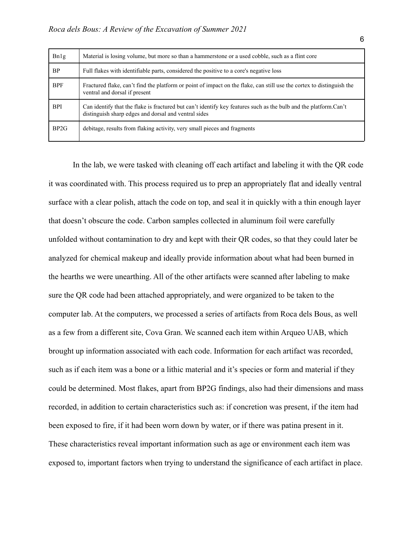| Bn1g       | Material is losing volume, but more so than a hammerstone or a used cobble, such as a flint core                                                                         |
|------------|--------------------------------------------------------------------------------------------------------------------------------------------------------------------------|
| <b>BP</b>  | Full flakes with identifiable parts, considered the positive to a core's negative loss                                                                                   |
| <b>BPF</b> | Fractured flake, can't find the platform or point of impact on the flake, can still use the cortex to distinguish the<br>ventral and dorsal if present                   |
| <b>BPI</b> | Can identify that the flake is fractured but can't identify key features such as the bulb and the platform.Can't<br>distinguish sharp edges and dorsal and ventral sides |
| BP2G       | debitage, results from flaking activity, very small pieces and fragments                                                                                                 |

In the lab, we were tasked with cleaning off each artifact and labeling it with the QR code it was coordinated with. This process required us to prep an appropriately flat and ideally ventral surface with a clear polish, attach the code on top, and seal it in quickly with a thin enough layer that doesn't obscure the code. Carbon samples collected in aluminum foil were carefully unfolded without contamination to dry and kept with their QR codes, so that they could later be analyzed for chemical makeup and ideally provide information about what had been burned in the hearths we were unearthing. All of the other artifacts were scanned after labeling to make sure the QR code had been attached appropriately, and were organized to be taken to the computer lab. At the computers, we processed a series of artifacts from Roca dels Bous, as well as a few from a different site, Cova Gran. We scanned each item within Arqueo UAB, which brought up information associated with each code. Information for each artifact was recorded, such as if each item was a bone or a lithic material and it's species or form and material if they could be determined. Most flakes, apart from BP2G findings, also had their dimensions and mass recorded, in addition to certain characteristics such as: if concretion was present, if the item had been exposed to fire, if it had been worn down by water, or if there was patina present in it. These characteristics reveal important information such as age or environment each item was exposed to, important factors when trying to understand the significance of each artifact in place.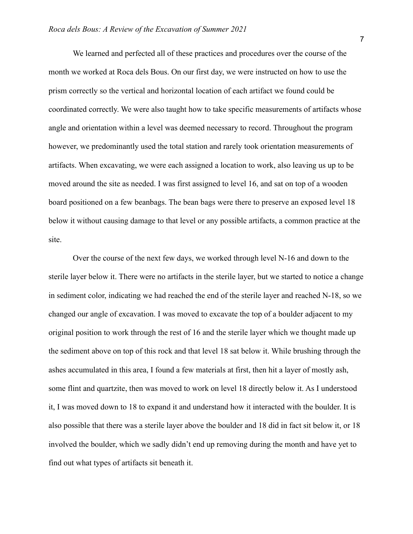We learned and perfected all of these practices and procedures over the course of the month we worked at Roca dels Bous. On our first day, we were instructed on how to use the prism correctly so the vertical and horizontal location of each artifact we found could be coordinated correctly. We were also taught how to take specific measurements of artifacts whose angle and orientation within a level was deemed necessary to record. Throughout the program however, we predominantly used the total station and rarely took orientation measurements of artifacts. When excavating, we were each assigned a location to work, also leaving us up to be moved around the site as needed. I was first assigned to level 16, and sat on top of a wooden board positioned on a few beanbags. The bean bags were there to preserve an exposed level 18 below it without causing damage to that level or any possible artifacts, a common practice at the site.

Over the course of the next few days, we worked through level N-16 and down to the sterile layer below it. There were no artifacts in the sterile layer, but we started to notice a change in sediment color, indicating we had reached the end of the sterile layer and reached N-18, so we changed our angle of excavation. I was moved to excavate the top of a boulder adjacent to my original position to work through the rest of 16 and the sterile layer which we thought made up the sediment above on top of this rock and that level 18 sat below it. While brushing through the ashes accumulated in this area, I found a few materials at first, then hit a layer of mostly ash, some flint and quartzite, then was moved to work on level 18 directly below it. As I understood it, I was moved down to 18 to expand it and understand how it interacted with the boulder. It is also possible that there was a sterile layer above the boulder and 18 did in fact sit below it, or 18 involved the boulder, which we sadly didn't end up removing during the month and have yet to find out what types of artifacts sit beneath it.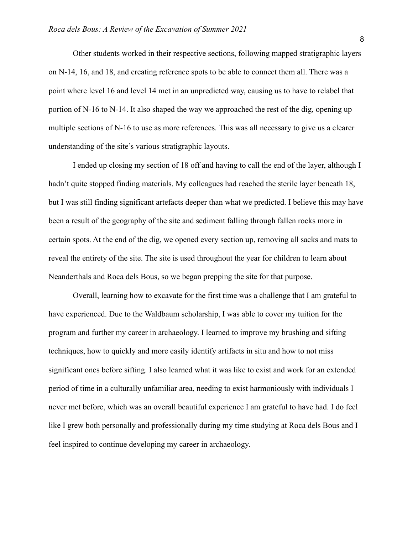Other students worked in their respective sections, following mapped stratigraphic layers on N-14, 16, and 18, and creating reference spots to be able to connect them all. There was a point where level 16 and level 14 met in an unpredicted way, causing us to have to relabel that portion of N-16 to N-14. It also shaped the way we approached the rest of the dig, opening up multiple sections of N-16 to use as more references. This was all necessary to give us a clearer understanding of the site's various stratigraphic layouts.

I ended up closing my section of 18 off and having to call the end of the layer, although I hadn't quite stopped finding materials. My colleagues had reached the sterile layer beneath 18, but I was still finding significant artefacts deeper than what we predicted. I believe this may have been a result of the geography of the site and sediment falling through fallen rocks more in certain spots. At the end of the dig, we opened every section up, removing all sacks and mats to reveal the entirety of the site. The site is used throughout the year for children to learn about Neanderthals and Roca dels Bous, so we began prepping the site for that purpose.

Overall, learning how to excavate for the first time was a challenge that I am grateful to have experienced. Due to the Waldbaum scholarship, I was able to cover my tuition for the program and further my career in archaeology. I learned to improve my brushing and sifting techniques, how to quickly and more easily identify artifacts in situ and how to not miss significant ones before sifting. I also learned what it was like to exist and work for an extended period of time in a culturally unfamiliar area, needing to exist harmoniously with individuals I never met before, which was an overall beautiful experience I am grateful to have had. I do feel like I grew both personally and professionally during my time studying at Roca dels Bous and I feel inspired to continue developing my career in archaeology.